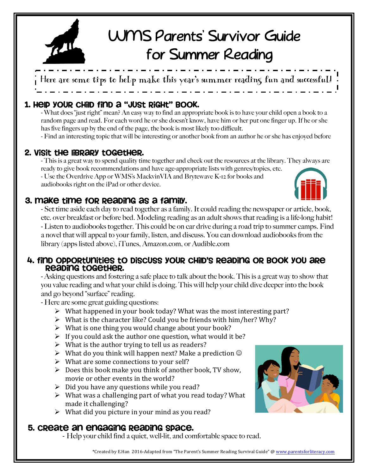

# WMS Parents' Survivor Guide for Summer Reading

Here are some tips to help make this year's summer reading fun and successful!

# 1. Help your child find a "just right" book.

- What does "just right" mean? An easy way to find an appropriate book is to have your child open a book to a random page and read. For each word he or she doesn't know, have him or her put one finger up. If he or she has five fingers up by the end of the page, the book is most likely too difficult.

- Find an interesting topic that will be interesting or another book from an author he or she has enjoyed before

# 2. Visit the library together.

- This is a great way to spend quality time together and check out the resources at the library. They always are ready to give book recommendations and have age-appropriate lists with genres/topics, etc. - Use the Overdrive App or WMS's MackvinVIA and Brytewave K-12 for books and audiobooks right on the iPad or other device.

# 3. Make time for reading as a family.

- Set time aside each day to read together as a family. It could reading the newspaper or article, book, etc. over breakfast or before bed. Modeling reading as an adult shows that reading is a life-long habit! - Listen to audiobooks together. This could be on car drive during a road trip to summer camps. Find a novel that will appeal to your family, listen, and discuss. You can download audiobooks from the library (apps listed above), iTunes, Amazon.com, or Audible.com

#### 4. Find opportunities to discuss your child's reading or book you are reading together.

- Asking questions and fostering a safe place to talk about the book. This is a great way to show that you value reading and what your child is doing. This will help your child dive deeper into the book and go beyond "surface" reading.

- Here are some great guiding questions:

- $\triangleright$  What happened in your book today? What was the most interesting part?
- $\triangleright$  What is the character like? Could you be friends with him/her? Why?
- $\triangleright$  What is one thing you would change about your book?
- $\triangleright$  If you could ask the author one question, what would it be?
- $\triangleright$  What is the author trying to tell us as readers?
- $\triangleright$  What do you think will happen next? Make a prediction  $\odot$
- $\triangleright$  What are some connections to your self?
- $\triangleright$  Does this book make you think of another book, TV show, movie or other events in the world?
- $\triangleright$  Did you have any questions while you read?
- $\triangleright$  What was a challenging part of what you read today? What made it challenging?
- $\triangleright$  What did you picture in your mind as you read?

### 5. Create an engaging reading space.

- Help your child find a quiet, well-lit, and comfortable space to read.